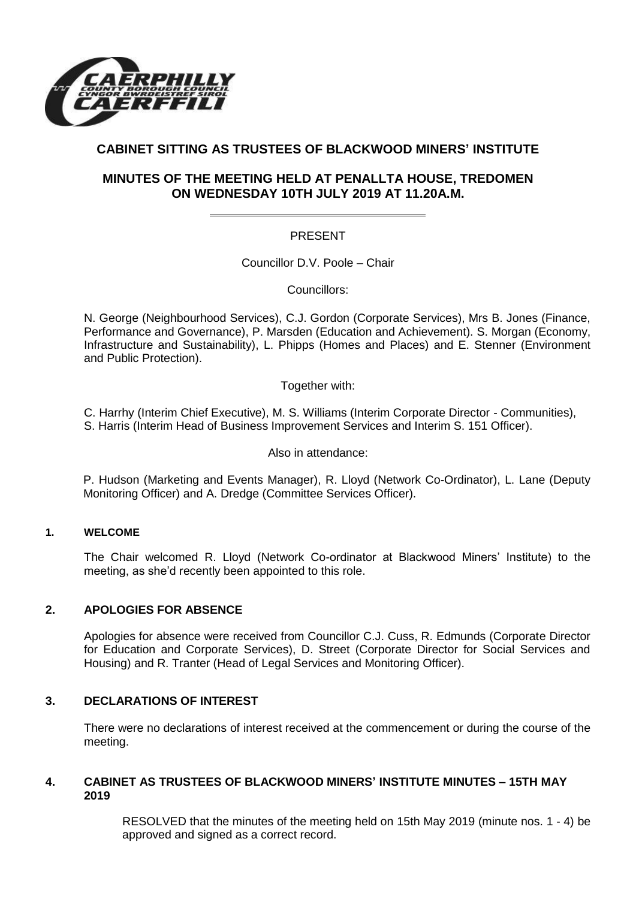

# **CABINET SITTING AS TRUSTEES OF BLACKWOOD MINERS' INSTITUTE**

## **MINUTES OF THE MEETING HELD AT PENALLTA HOUSE, TREDOMEN ON WEDNESDAY 10TH JULY 2019 AT 11.20A.M.**

### PRESENT

Councillor D.V. Poole – Chair

Councillors:

N. George (Neighbourhood Services), C.J. Gordon (Corporate Services), Mrs B. Jones (Finance, Performance and Governance), P. Marsden (Education and Achievement). S. Morgan (Economy, Infrastructure and Sustainability), L. Phipps (Homes and Places) and E. Stenner (Environment and Public Protection).

Together with:

C. Harrhy (Interim Chief Executive), M. S. Williams (Interim Corporate Director - Communities),

S. Harris (Interim Head of Business Improvement Services and Interim S. 151 Officer).

Also in attendance:

P. Hudson (Marketing and Events Manager), R. Lloyd (Network Co-Ordinator), L. Lane (Deputy Monitoring Officer) and A. Dredge (Committee Services Officer).

### **1. WELCOME**

The Chair welcomed R. Lloyd (Network Co-ordinator at Blackwood Miners' Institute) to the meeting, as she'd recently been appointed to this role.

#### **2. APOLOGIES FOR ABSENCE**

Apologies for absence were received from Councillor C.J. Cuss, R. Edmunds (Corporate Director for Education and Corporate Services), D. Street (Corporate Director for Social Services and Housing) and R. Tranter (Head of Legal Services and Monitoring Officer).

#### **3. DECLARATIONS OF INTEREST**

There were no declarations of interest received at the commencement or during the course of the meeting.

#### **4. CABINET AS TRUSTEES OF BLACKWOOD MINERS' INSTITUTE MINUTES – 15TH MAY 2019**

RESOLVED that the minutes of the meeting held on 15th May 2019 (minute nos. 1 - 4) be approved and signed as a correct record.